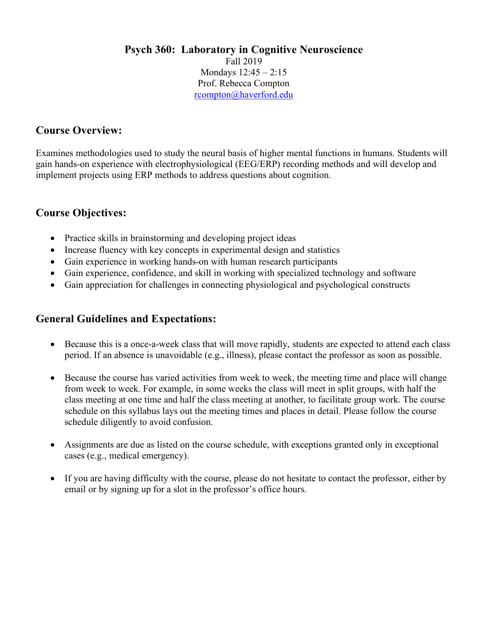#### **Psych 360: Laboratory in Cognitive Neuroscience** Fall 2019 Mondays 12:45 – 2:15 Prof. Rebecca Compton rcompton@haverford.edu

## **Course Overview:**

Examines methodologies used to study the neural basis of higher mental functions in humans. Students will gain hands-on experience with electrophysiological (EEG/ERP) recording methods and will develop and implement projects using ERP methods to address questions about cognition.

#### **Course Objectives:**

- Practice skills in brainstorming and developing project ideas
- Increase fluency with key concepts in experimental design and statistics
- Gain experience in working hands-on with human research participants
- Gain experience, confidence, and skill in working with specialized technology and software
- Gain appreciation for challenges in connecting physiological and psychological constructs

#### **General Guidelines and Expectations:**

- Because this is a once-a-week class that will move rapidly, students are expected to attend each class period. If an absence is unavoidable (e.g., illness), please contact the professor as soon as possible.
- Because the course has varied activities from week to week, the meeting time and place will change from week to week. For example, in some weeks the class will meet in split groups, with half the class meeting at one time and half the class meeting at another, to facilitate group work. The course schedule on this syllabus lays out the meeting times and places in detail. Please follow the course schedule diligently to avoid confusion.
- Assignments are due as listed on the course schedule, with exceptions granted only in exceptional cases (e.g., medical emergency).
- If you are having difficulty with the course, please do not hesitate to contact the professor, either by email or by signing up for a slot in the professor's office hours.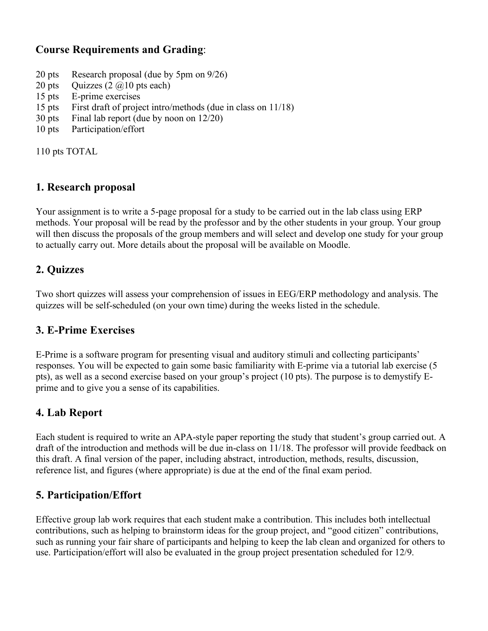# **Course Requirements and Grading**:

- 20 pts Research proposal (due by 5pm on 9/26)
- 20 pts Quizzes  $(2 \text{ (a)} 10 \text{ pts each})$
- 15 pts E-prime exercises
- 15 pts First draft of project intro/methods (due in class on 11/18)
- 30 pts Final lab report (due by noon on 12/20)
- 10 pts Participation/effort

110 pts TOTAL

### **1. Research proposal**

Your assignment is to write a 5-page proposal for a study to be carried out in the lab class using ERP methods. Your proposal will be read by the professor and by the other students in your group. Your group will then discuss the proposals of the group members and will select and develop one study for your group to actually carry out. More details about the proposal will be available on Moodle.

### **2. Quizzes**

Two short quizzes will assess your comprehension of issues in EEG/ERP methodology and analysis. The quizzes will be self-scheduled (on your own time) during the weeks listed in the schedule.

#### **3. E-Prime Exercises**

E-Prime is a software program for presenting visual and auditory stimuli and collecting participants' responses. You will be expected to gain some basic familiarity with E-prime via a tutorial lab exercise (5 pts), as well as a second exercise based on your group's project (10 pts). The purpose is to demystify Eprime and to give you a sense of its capabilities.

# **4. Lab Report**

Each student is required to write an APA-style paper reporting the study that student's group carried out. A draft of the introduction and methods will be due in-class on 11/18. The professor will provide feedback on this draft. A final version of the paper, including abstract, introduction, methods, results, discussion, reference list, and figures (where appropriate) is due at the end of the final exam period.

# **5. Participation/Effort**

Effective group lab work requires that each student make a contribution. This includes both intellectual contributions, such as helping to brainstorm ideas for the group project, and "good citizen" contributions, such as running your fair share of participants and helping to keep the lab clean and organized for others to use. Participation/effort will also be evaluated in the group project presentation scheduled for 12/9.